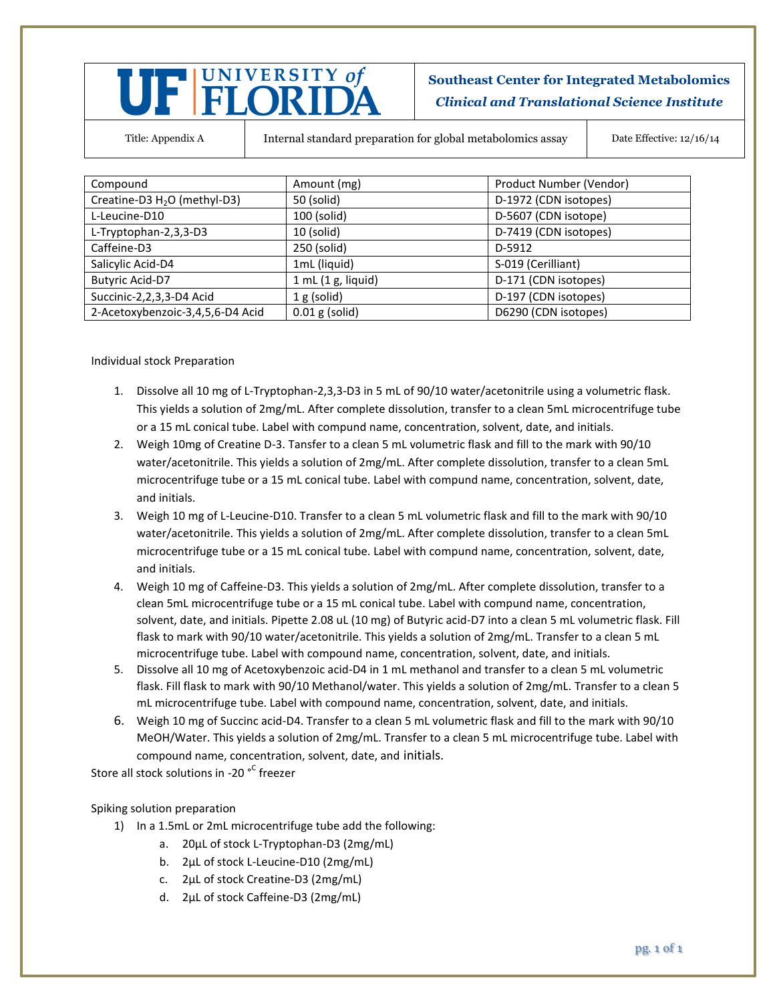## UF FLORIDA

**Southeast Center for Integrated Metabolomics** *Clinical and Translational Science Institute*

Title: Appendix A Internal standard preparation for global metabolomics assay Date Effective: 12/16/14

| Compound                                 | Amount (mg)       | Product Number (Vendor) |
|------------------------------------------|-------------------|-------------------------|
| Creatine-D3 H <sub>2</sub> O (methyl-D3) | 50 (solid)        | D-1972 (CDN isotopes)   |
| L-Leucine-D10                            | 100 (solid)       | D-5607 (CDN isotope)    |
| L-Tryptophan-2,3,3-D3                    | $10$ (solid)      | D-7419 (CDN isotopes)   |
| Caffeine-D3                              | 250 (solid)       | D-5912                  |
| Salicylic Acid-D4                        | 1mL (liquid)      | S-019 (Cerilliant)      |
| <b>Butyric Acid-D7</b>                   | 1 mL(1 g, liquid) | D-171 (CDN isotopes)    |
| Succinic-2,2,3,3-D4 Acid                 | 1 g (solid)       | D-197 (CDN isotopes)    |
| 2-Acetoxybenzoic-3,4,5,6-D4 Acid         | $0.01$ g (solid)  | D6290 (CDN isotopes)    |

Individual stock Preparation

- 1. Dissolve all 10 mg of L-Tryptophan-2,3,3-D3 in 5 mL of 90/10 water/acetonitrile using a volumetric flask. This yields a solution of 2mg/mL. After complete dissolution, transfer to a clean 5mL microcentrifuge tube or a 15 mL conical tube. Label with compund name, concentration, solvent, date, and initials.
- 2. Weigh 10mg of Creatine D-3. Tansfer to a clean 5 mL volumetric flask and fill to the mark with 90/10 water/acetonitrile. This yields a solution of 2mg/mL. After complete dissolution, transfer to a clean 5mL microcentrifuge tube or a 15 mL conical tube. Label with compund name, concentration, solvent, date, and initials.
- 3. Weigh 10 mg of L-Leucine-D10. Transfer to a clean 5 mL volumetric flask and fill to the mark with 90/10 water/acetonitrile. This yields a solution of 2mg/mL. After complete dissolution, transfer to a clean 5mL microcentrifuge tube or a 15 mL conical tube. Label with compund name, concentration, solvent, date, and initials.
- 4. Weigh 10 mg of Caffeine-D3. This yields a solution of 2mg/mL. After complete dissolution, transfer to a clean 5mL microcentrifuge tube or a 15 mL conical tube. Label with compund name, concentration, solvent, date, and initials. Pipette 2.08 uL (10 mg) of Butyric acid-D7 into a clean 5 mL volumetric flask. Fill flask to mark with 90/10 water/acetonitrile. This yields a solution of 2mg/mL. Transfer to a clean 5 mL microcentrifuge tube. Label with compound name, concentration, solvent, date, and initials.
- 5. Dissolve all 10 mg of Acetoxybenzoic acid-D4 in 1 mL methanol and transfer to a clean 5 mL volumetric flask. Fill flask to mark with 90/10 Methanol/water. This yields a solution of 2mg/mL. Transfer to a clean 5 mL microcentrifuge tube. Label with compound name, concentration, solvent, date, and initials.
- 6. Weigh 10 mg of Succinc acid-D4. Transfer to a clean 5 mL volumetric flask and fill to the mark with 90/10 MeOH/Water. This yields a solution of 2mg/mL. Transfer to a clean 5 mL microcentrifuge tube. Label with compound name, concentration, solvent, date, and initials.

Store all stock solutions in -20 <sup>°C</sup> freezer

## Spiking solution preparation

- 1) In a 1.5mL or 2mL microcentrifuge tube add the following:
	- a. 20µL of stock L-Tryptophan-D3 (2mg/mL)
	- b. 2µL of stock L-Leucine-D10 (2mg/mL)
	- c. 2µL of stock Creatine-D3 (2mg/mL)
	- d. 2µL of stock Caffeine-D3 (2mg/mL)